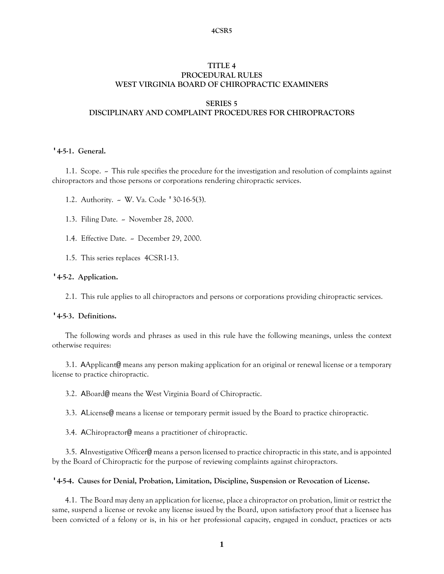#### **4CSR5**

## **TITLE 4 PROCEDURAL RULES WEST VIRGINIA BOARD OF CHIROPRACTIC EXAMINERS**

#### **SERIES 5**

# **DISCIPLINARY AND COMPLAINT PROCEDURES FOR CHIROPRACTORS**

### **'4-5-1. General.**

1.1. Scope.  $\sim$  This rule specifies the procedure for the investigation and resolution of complaints against chiropractors and those persons or corporations rendering chiropractic services.

1.2. Authority. - W. Va. Code '30-16-5(3).

1.3. Filing Date. - November 28, 2000.

1.4. Effective Date. ~ December 29, 2000.

1.5. This series replaces 4CSR1-13.

#### **'4-5-2. Application.**

2.1. This rule applies to all chiropractors and persons or corporations providing chiropractic services.

### **'4-5-3. Definitions.**

The following words and phrases as used in this rule have the following meanings, unless the context otherwise requires:

3.1. AApplicant@ means any person making application for an original or renewal license or a temporary license to practice chiropractic.

3.2. ABoard@ means the West Virginia Board of Chiropractic.

3.3. ALicense@ means a license or temporary permit issued by the Board to practice chiropractic.

3.4. AChiropractor@ means a practitioner of chiropractic.

3.5. AInvestigative Officer@ means a person licensed to practice chiropractic in this state, and is appointed by the Board of Chiropractic for the purpose of reviewing complaints against chiropractors.

#### **'4-5-4. Causes for Denial, Probation, Limitation, Discipline, Suspension or Revocation of License.**

4.1. The Board may deny an application for license, place a chiropractor on probation, limit or restrict the same, suspend a license or revoke any license issued by the Board, upon satisfactory proof that a licensee has been convicted of a felony or is, in his or her professional capacity, engaged in conduct, practices or acts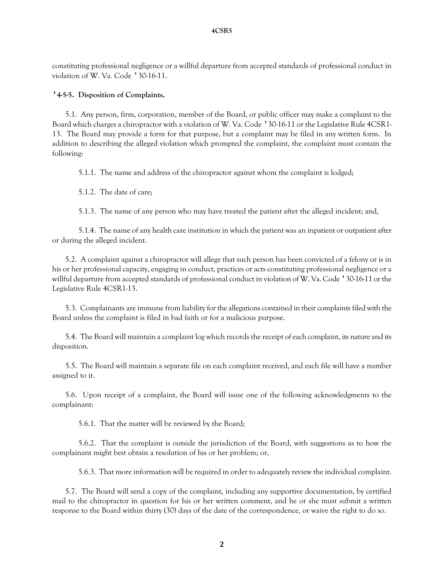constituting professional negligence or a willful departure from accepted standards of professional conduct in violation of W. Va. Code '30-16-11.

## **'4-5-5. Disposition of Complaints.**

5.1. Any person, firm, corporation, member of the Board, or public officer may make a complaint to the Board which charges a chiropractor with a violation of W. Va. Code '30-16-11 or the Legislative Rule 4CSR1- 13. The Board may provide a form for that purpose, but a complaint may be filed in any written form. In addition to describing the alleged violation which prompted the complaint, the complaint must contain the following:

5.1.1. The name and address of the chiropractor against whom the complaint is lodged;

5.1.2. The date of care;

5.1.3. The name of any person who may have treated the patient after the alleged incident; and,

5.1.4. The name of any health care institution in which the patient was an inpatient or outpatient after or during the alleged incident.

5.2. A complaint against a chiropractor will allege that such person has been convicted of a felony or is in his or her professional capacity, engaging in conduct, practices or acts constituting professional negligence or a willful departure from accepted standards of professional conduct in violation of W. Va. Code '30-16-11 or the Legislative Rule 4CSR1-13.

5.3. Complainants are immune from liability for the allegations contained in their complaints filed with the Board unless the complaint is filed in bad faith or for a malicious purpose.

5.4. The Board will maintain a complaint log which records the receipt of each complaint, its nature and its disposition.

5.5. The Board will maintain a separate file on each complaint received, and each file will have a number assigned to it.

5.6. Upon receipt of a complaint, the Board will issue one of the following acknowledgments to the complainant:

5.6.1. That the matter will be reviewed by the Board;

5.6.2. That the complaint is outside the jurisdiction of the Board, with suggestions as to how the complainant might best obtain a resolution of his or her problem; or,

5.6.3. That more information will be required in order to adequately review the individual complaint.

5.7. The Board will send a copy of the complaint, including any supportive documentation, by certified mail to the chiropractor in question for his or her written comment, and he or she must submit a written response to the Board within thirty (30) days of the date of the correspondence, or waive the right to do so.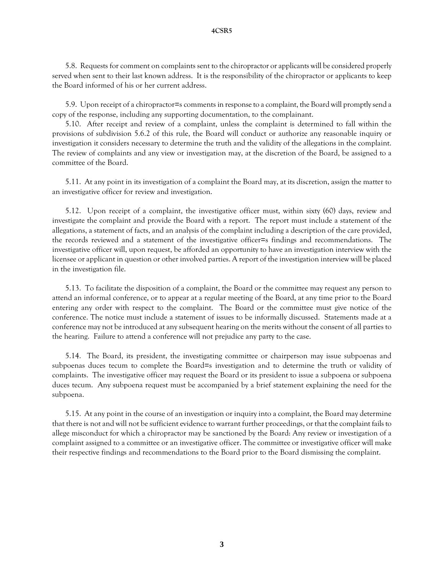5.8. Requests for comment on complaints sent to the chiropractor or applicants will be considered properly served when sent to their last known address. It is the responsibility of the chiropractor or applicants to keep the Board informed of his or her current address.

5.9. Upon receipt of a chiropractor=s comments in response to a complaint, the Board will promptly send a copy of the response, including any supporting documentation, to the complainant.

5.10. After receipt and review of a complaint, unless the complaint is determined to fall within the provisions of subdivision 5.6.2 of this rule, the Board will conduct or authorize any reasonable inquiry or investigation it considers necessary to determine the truth and the validity of the allegations in the complaint. The review of complaints and any view or investigation may, at the discretion of the Board, be assigned to a committee of the Board.

5.11. At any point in its investigation of a complaint the Board may, at its discretion, assign the matter to an investigative officer for review and investigation.

5.12. Upon receipt of a complaint, the investigative officer must, within sixty (60) days, review and investigate the complaint and provide the Board with a report. The report must include a statement of the allegations, a statement of facts, and an analysis of the complaint including a description of the care provided, the records reviewed and a statement of the investigative officer=s findings and recommendations. The investigative officer will, upon request, be afforded an opportunity to have an investigation interview with the licensee or applicant in question or other involved parties. A report of the investigation interview will be placed in the investigation file.

5.13. To facilitate the disposition of a complaint, the Board or the committee may request any person to attend an informal conference, or to appear at a regular meeting of the Board, at any time prior to the Board entering any order with respect to the complaint. The Board or the committee must give notice of the conference. The notice must include a statement of issues to be informally discussed. Statements made at a conference may not be introduced at any subsequent hearing on the merits without the consent of all parties to the hearing. Failure to attend a conference will not prejudice any party to the case.

5.14. The Board, its president, the investigating committee or chairperson may issue subpoenas and subpoenas duces tecum to complete the Board=s investigation and to determine the truth or validity of complaints. The investigative officer may request the Board or its president to issue a subpoena or subpoena duces tecum. Any subpoena request must be accompanied by a brief statement explaining the need for the subpoena.

5.15. At any point in the course of an investigation or inquiry into a complaint, the Board may determine that there is not and will not be sufficient evidence to warrant further proceedings, or that the complaint fails to allege misconduct for which a chiropractor may be sanctioned by the Board: Any review or investigation of a complaint assigned to a committee or an investigative officer. The committee or investigative officer will make their respective findings and recommendations to the Board prior to the Board dismissing the complaint.